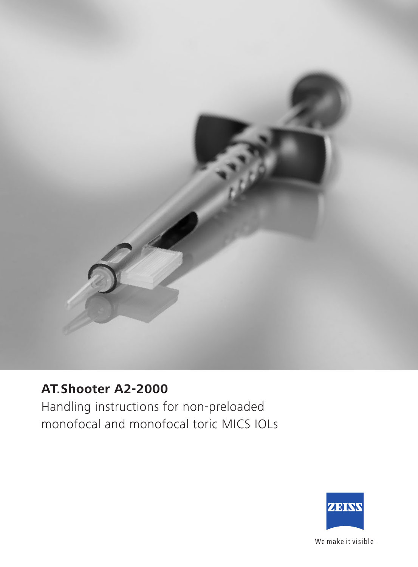

## **AT.Shooter A2-2000**

Handling instructions for non-preloaded monofocal and monofocal toric MICS IOLs



We make it visible.